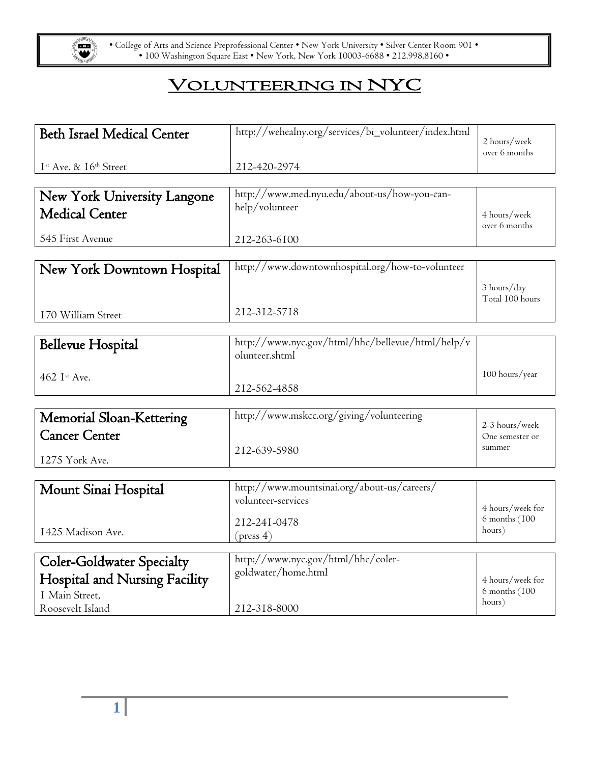

• College of Arts and Science Preprofessional Center • New York University • Silver Center Room 901 • • 100 Washington Square East • New York, New York 10003-6688 • 212.998.8160 •

## VOLUNTEERING IN NYC

| <b>Beth Israel Medical Center</b>              | http://wehealny.org/services/bi_volunteer/index.html | 2 hours/week                      |
|------------------------------------------------|------------------------------------------------------|-----------------------------------|
|                                                |                                                      | over 6 months                     |
| I <sup>st</sup> Ave. & 16 <sup>th</sup> Street | 212-420-2974                                         |                                   |
|                                                |                                                      |                                   |
| New York University Langone                    | http://www.med.nyu.edu/about-us/how-you-can-         |                                   |
| <b>Medical Center</b>                          | help/volunteer                                       | 4 hours/week<br>over 6 months     |
| 545 First Avenue                               | 212-263-6100                                         |                                   |
|                                                |                                                      |                                   |
| New York Downtown Hospital                     | http://www.downtownhospital.org/how-to-volunteer     |                                   |
|                                                |                                                      | 3 hours/day                       |
|                                                | 212-312-5718                                         | Total 100 hours                   |
| 170 William Street                             |                                                      |                                   |
|                                                | http://www.nyc.gov/html/hhc/bellevue/html/help/v     |                                   |
| <b>Bellevue Hospital</b>                       | olunteer.shtml                                       |                                   |
| 462 Ist Ave.                                   |                                                      | 100 hours/year                    |
|                                                | 212-562-4858                                         |                                   |
|                                                |                                                      |                                   |
| Memorial Sloan-Kettering                       | http://www.mskcc.org/giving/volunteering             | 2-3 hours/week                    |
| <b>Cancer Center</b>                           |                                                      | One semester or                   |
|                                                | 212-639-5980                                         | summer                            |
| 1275 York Ave.                                 |                                                      |                                   |
|                                                | http://www.mountsinai.org/about-us/careers/          |                                   |
| Mount Sinai Hospital                           | volunteer-services                                   |                                   |
|                                                |                                                      | 4 hours/week for<br>6 months (100 |
| 1425 Madison Ave.                              | 212-241-0478                                         | hours)                            |
|                                                | (press 4)                                            |                                   |
| <b>Coler-Goldwater Specialty</b>               | http://www.nyc.gov/html/hhc/coler-                   |                                   |
| Hospital and Nursing Facility                  | goldwater/home.html                                  | 4 hours/week for                  |
| I Main Street,                                 |                                                      | 6 months (100                     |
| Roosevelt Island                               | 212-318-8000                                         | hours)                            |
|                                                |                                                      |                                   |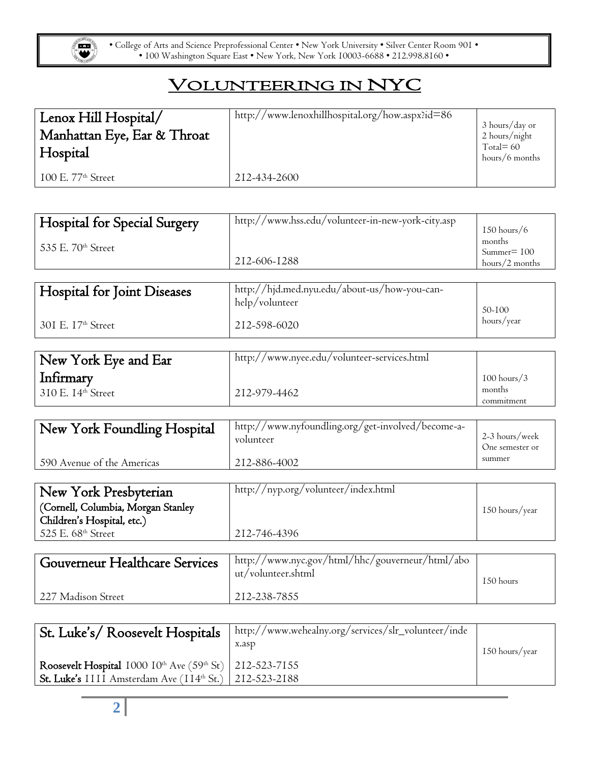

• College of Arts and Science Preprofessional Center • New York University • Silver Center Room 901 • • 100 Washington Square East • New York, New York 10003-6688 • 212.998.8160 •

## VOLUNTEERING IN NYC

| Lenox Hill Hospital/<br>Manhattan Eye, Ear & Throat<br>Hospital | http://www.lenoxhillhospital.org/how.aspx?id=86 | 3 hours/day or<br>2 hours/night<br>Total= $60$<br>hours/6 months |
|-----------------------------------------------------------------|-------------------------------------------------|------------------------------------------------------------------|
| $100$ E. $77th$ Street                                          | 212-434-2600                                    |                                                                  |

| Hospital for Special Surgery   | http://www.hss.edu/volunteer-in-new-york-city.asp              | $150$ hours/6                              |
|--------------------------------|----------------------------------------------------------------|--------------------------------------------|
| 535 E. 70 <sup>th</sup> Street | 212-606-1288                                                   | months<br>$Summer = 100$<br>hours/2 months |
| Hospital for Joint Diseases    | http://hjd.med.nyu.edu/about-us/how-you-can-<br>help/volunteer | 50-100                                     |
| 301 E. 17 <sup>th</sup> Street | 212-598-6020                                                   | hours/year                                 |

| New York Eye and Ear                | http://www.nyee.edu/volunteer-services.html |                         |
|-------------------------------------|---------------------------------------------|-------------------------|
| Infirmary<br>$310$ E. $14th$ Street | 212-979-4462                                | $100$ hours/3<br>months |
|                                     |                                             | commitment              |

| New York Foundling Hospital | http://www.nyfoundling.org/get-involved/become-a-<br>volunteer | 2-3 hours/week<br>One semester or |
|-----------------------------|----------------------------------------------------------------|-----------------------------------|
| 590 Avenue of the Americas  | 212-886-4002                                                   | summer                            |

| (Cornell, Columbia, Morgan Stanley<br>150 hours/year | New York Presbyterian      | http://nyp.org/volunteer/index.html |  |
|------------------------------------------------------|----------------------------|-------------------------------------|--|
|                                                      |                            |                                     |  |
|                                                      | Children's Hospital, etc.) |                                     |  |
| 525 E. 68 <sup>th</sup> Street<br>212-746-4396       |                            |                                     |  |

| Gouverneur Healthcare Services | http://www.nyc.gov/html/hhc/gouverneur/html/abo<br>ut/volunteer.shtml | 150 hours |
|--------------------------------|-----------------------------------------------------------------------|-----------|
| 227 Madison Street             | 212-238-7855                                                          |           |

| St. Luke's/Roosevelt Hospitals                                                                                                  | http://www.wehealny.org/services/slr_volunteer/inde<br>x.asp | 150 hours/year |
|---------------------------------------------------------------------------------------------------------------------------------|--------------------------------------------------------------|----------------|
| Roosevelt Hospital $1000 10^{\text{th}}$ Ave (59th St) 212-523-7155<br>St. Luke's IIII Amsterdam Ave (114th St.)   212-523-2188 |                                                              |                |